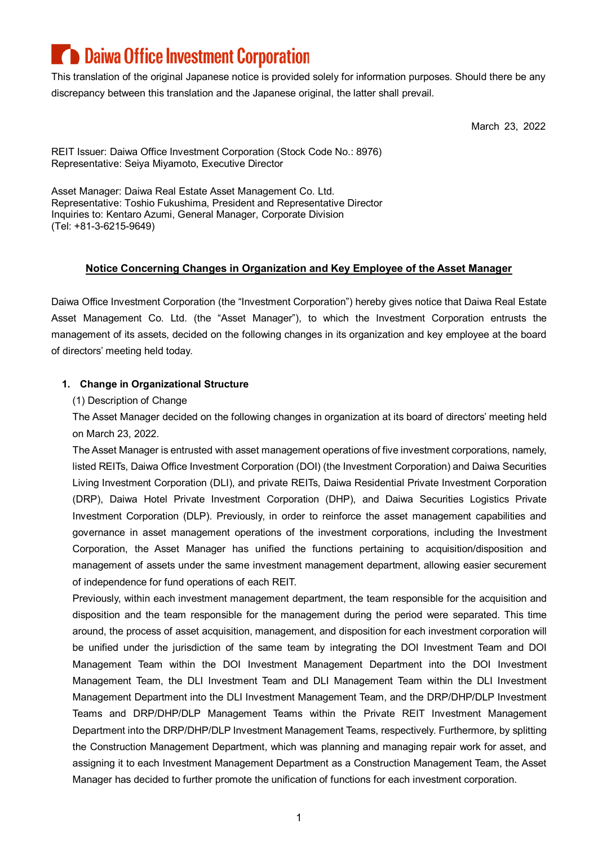### **Daiwa Office Investment Corporation**

This translation of the original Japanese notice is provided solely for information purposes. Should there be any discrepancy between this translation and the Japanese original, the latter shall prevail.

March 23, 2022

REIT Issuer: Daiwa Office Investment Corporation (Stock Code No.: 8976) Representative: Seiya Miyamoto, Executive Director

Asset Manager: Daiwa Real Estate Asset Management Co. Ltd. Representative: Toshio Fukushima, President and Representative Director Inquiries to: Kentaro Azumi, General Manager, Corporate Division (Tel: +81-3-6215-9649)

#### **Notice Concerning Changes in Organization and Key Employee of the Asset Manager**

Daiwa Office Investment Corporation (the "Investment Corporation") hereby gives notice that Daiwa Real Estate Asset Management Co. Ltd. (the "Asset Manager"), to which the Investment Corporation entrusts the management of its assets, decided on the following changes in its organization and key employee at the board of directors' meeting held today.

#### **1. Change in Organizational Structure**

#### (1) Description of Change

The Asset Manager decided on the following changes in organization at its board of directors' meeting held on March 23, 2022.

The Asset Manager is entrusted with asset management operations of five investment corporations, namely, listed REITs, Daiwa Office Investment Corporation (DOI) (the Investment Corporation) and Daiwa Securities Living Investment Corporation (DLI), and private REITs, Daiwa Residential Private Investment Corporation (DRP), Daiwa Hotel Private Investment Corporation (DHP), and Daiwa Securities Logistics Private Investment Corporation (DLP). Previously, in order to reinforce the asset management capabilities and governance in asset management operations of the investment corporations, including the Investment Corporation, the Asset Manager has unified the functions pertaining to acquisition/disposition and management of assets under the same investment management department, allowing easier securement of independence for fund operations of each REIT.

Previously, within each investment management department, the team responsible for the acquisition and disposition and the team responsible for the management during the period were separated. This time around, the process of asset acquisition, management, and disposition for each investment corporation will be unified under the jurisdiction of the same team by integrating the DOI Investment Team and DOI Management Team within the DOI Investment Management Department into the DOI Investment Management Team, the DLI Investment Team and DLI Management Team within the DLI Investment Management Department into the DLI Investment Management Team, and the DRP/DHP/DLP Investment Teams and DRP/DHP/DLP Management Teams within the Private REIT Investment Management Department into the DRP/DHP/DLP Investment Management Teams, respectively. Furthermore, by splitting the Construction Management Department, which was planning and managing repair work for asset, and assigning it to each Investment Management Department as a Construction Management Team, the Asset Manager has decided to further promote the unification of functions for each investment corporation.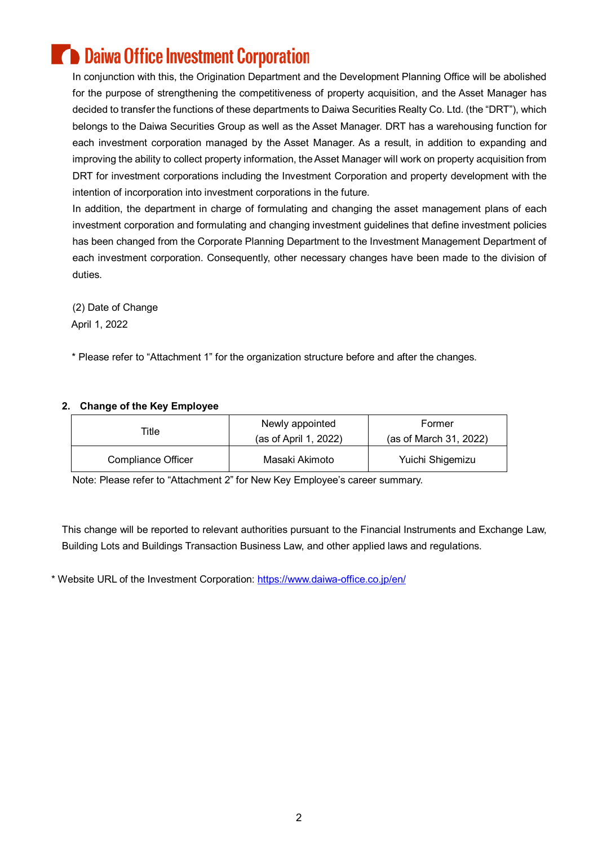### **B** Daiwa Office Investment Corporation

In conjunction with this, the Origination Department and the Development Planning Office will be abolished for the purpose of strengthening the competitiveness of property acquisition, and the Asset Manager has decided to transfer the functions of these departments to Daiwa Securities Realty Co. Ltd. (the "DRT"), which belongs to the Daiwa Securities Group as well as the Asset Manager. DRT has a warehousing function for each investment corporation managed by the Asset Manager. As a result, in addition to expanding and improving the ability to collect property information, the Asset Manager will work on property acquisition from DRT for investment corporations including the Investment Corporation and property development with the intention of incorporation into investment corporations in the future.

In addition, the department in charge of formulating and changing the asset management plans of each investment corporation and formulating and changing investment guidelines that define investment policies has been changed from the Corporate Planning Department to the Investment Management Department of each investment corporation. Consequently, other necessary changes have been made to the division of duties.

(2) Date of Change April 1, 2022

\* Please refer to "Attachment 1" for the organization structure before and after the changes.

### **2. Change of the Key Employee**

| Title                     | Newly appointed<br>(as of April 1, 2022) | Former<br>(as of March 31, 2022) |
|---------------------------|------------------------------------------|----------------------------------|
| <b>Compliance Officer</b> | Masaki Akimoto                           | Yuichi Shigemizu                 |

Note: Please refer to "Attachment 2" for New Key Employee's career summary.

This change will be reported to relevant authorities pursuant to the Financial Instruments and Exchange Law, Building Lots and Buildings Transaction Business Law, and other applied laws and regulations.

\* Website URL of the Investment Corporation:<https://www.daiwa-office.co.jp/en/>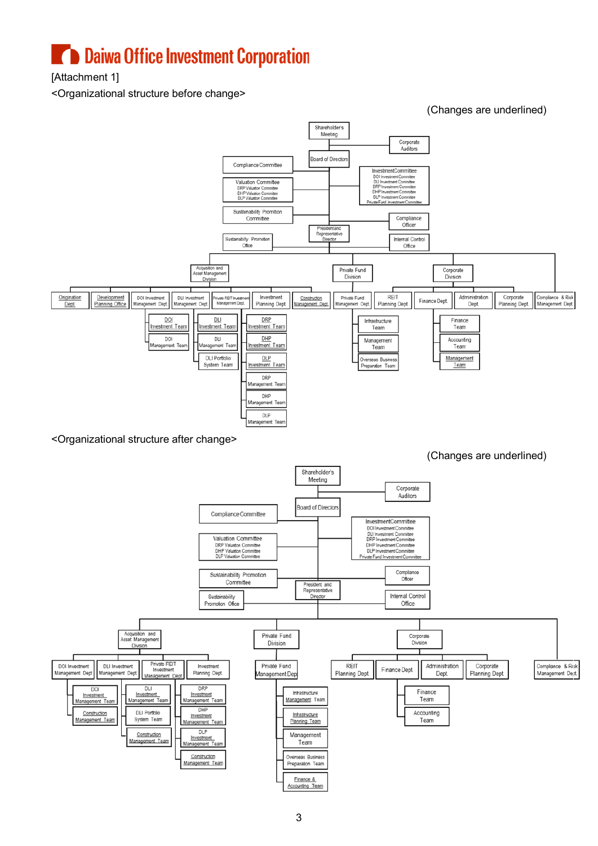## **Daiwa Office Investment Corporation**

[Attachment 1]

<Organizational structure before change>

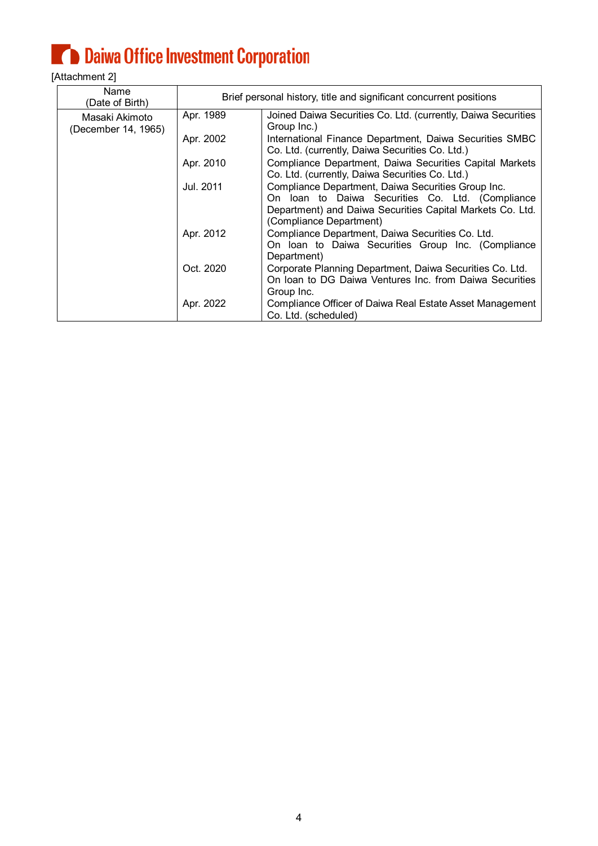# **Daiwa Office Investment Corporation**

### [Attachment 2]

| Name<br>(Date of Birth)               | Brief personal history, title and significant concurrent positions |                                                                                                                                                                                                |
|---------------------------------------|--------------------------------------------------------------------|------------------------------------------------------------------------------------------------------------------------------------------------------------------------------------------------|
| Masaki Akimoto<br>(December 14, 1965) | Apr. 1989                                                          | Joined Daiwa Securities Co. Ltd. (currently, Daiwa Securities<br>Group Inc.)                                                                                                                   |
|                                       | Apr. 2002                                                          | International Finance Department, Daiwa Securities SMBC<br>Co. Ltd. (currently, Daiwa Securities Co. Ltd.)                                                                                     |
|                                       | Apr. 2010                                                          | Compliance Department, Daiwa Securities Capital Markets<br>Co. Ltd. (currently, Daiwa Securities Co. Ltd.)                                                                                     |
|                                       | Jul. 2011                                                          | Compliance Department, Daiwa Securities Group Inc.<br>On Ioan to Daiwa Securities Co. Ltd. (Compliance<br>Department) and Daiwa Securities Capital Markets Co. Ltd.<br>(Compliance Department) |
|                                       | Apr. 2012                                                          | Compliance Department, Daiwa Securities Co. Ltd.<br>On Ioan to Daiwa Securities Group Inc. (Compliance<br>Department)                                                                          |
|                                       | Oct. 2020                                                          | Corporate Planning Department, Daiwa Securities Co. Ltd.<br>On Ioan to DG Daiwa Ventures Inc. from Daiwa Securities<br>Group Inc.                                                              |
|                                       | Apr. 2022                                                          | Compliance Officer of Daiwa Real Estate Asset Management<br>Co. Ltd. (scheduled)                                                                                                               |